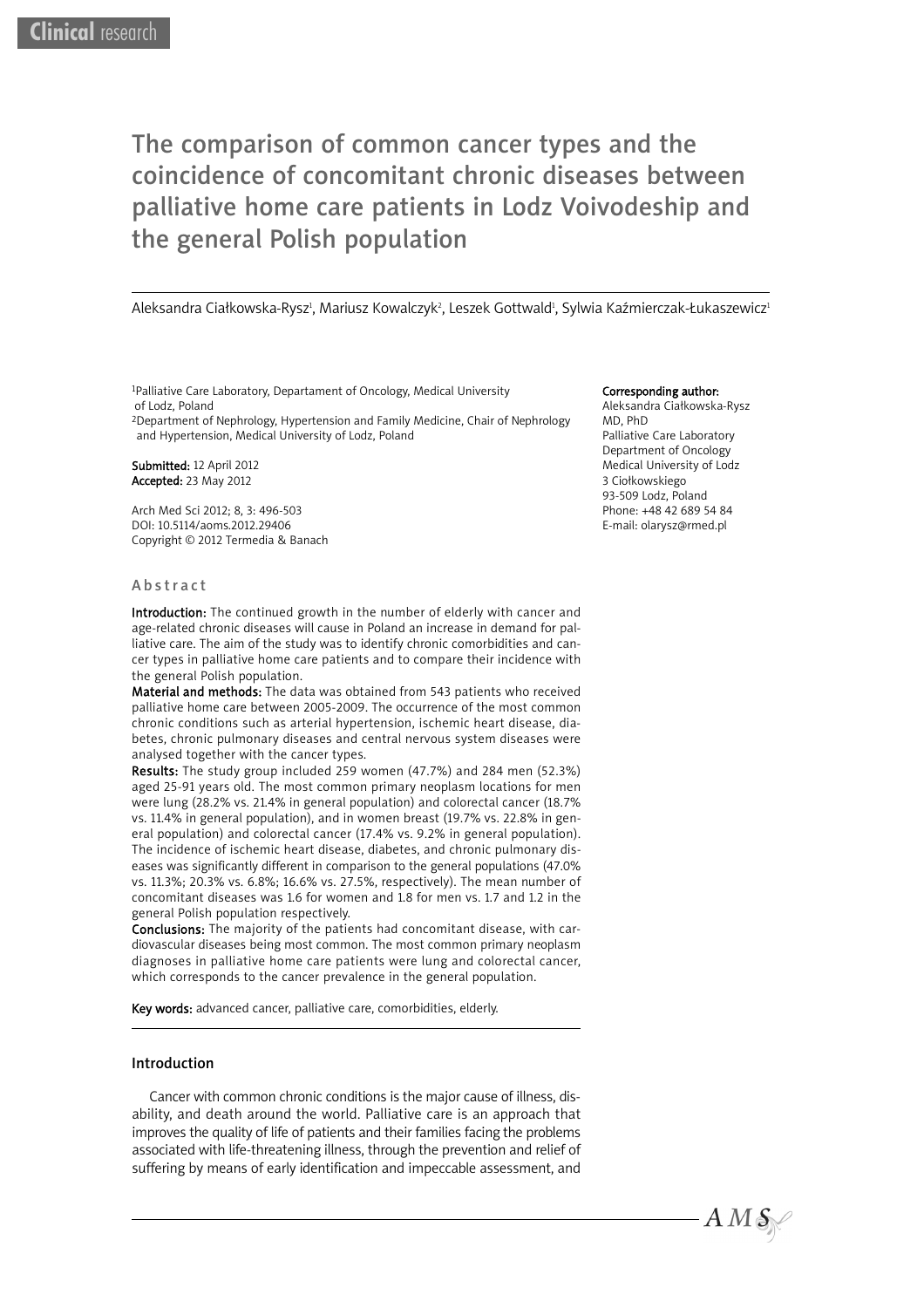# The comparison of common cancer types and the coincidence of concomitant chronic diseases between palliative home care patients in Lodz Voivodeship and the general Polish population

Aleksandra Ciałkowska-Rysz<sup>ı</sup>, Mariusz Kowalczyk<sup>2</sup>, Leszek Gottwald<sup>ı</sup>, Sylwia Kaźmierczak-Łukaszewicz<sup>ı</sup>

1Palliative Care Laboratory, Departament of Oncology, Medical University of Lodz, Poland

2Department of Nephrology, Hypertension and Family Medicine, Chair of Nephrology and Hypertension, Medical University of Lodz, Poland

Submitted: 12 April 2012 Accepted: 23 May 2012

Arch Med Sci 2012; 8, 3: 496-503 DOI: 10.5114/aoms.2012.29406 Copyright © 2012 Termedia & Banach

## Abstract

Introduction: The continued growth in the number of elderly with cancer and age-related chronic diseases will cause in Poland an increase in demand for palliative care. The aim of the study was to identify chronic comorbidities and cancer types in palliative home care patients and to compare their incidence with the general Polish population.

Material and methods: The data was obtained from 543 patients who received palliative home care between 2005-2009. The occurrence of the most common chronic conditions such as arterial hypertension, ischemic heart disease, diabetes, chronic pulmonary diseases and central nervous system diseases were analysed together with the cancer types.

Results: The study group included 259 women (47.7%) and 284 men (52.3%) aged 25-91 years old. The most common primary neoplasm locations for men were lung (28.2% vs. 21.4% in general population) and colorectal cancer (18.7% vs. 11.4% in general population), and in women breast (19.7% vs. 22.8% in general population) and colorectal cancer (17.4% vs. 9.2% in general population). The incidence of ischemic heart disease, diabetes, and chronic pulmonary diseases was significantly different in comparison to the general populations (47.0% vs. 11.3%; 20.3% vs. 6.8%; 16.6% vs. 27.5%, respectively). The mean number of concomitant diseases was 1.6 for women and 1.8 for men vs. 1.7 and 1.2 in the general Polish population respectively.

Conclusions: The majority of the patients had concomitant disease, with cardiovascular diseases being most common. The most common primary neoplasm diagnoses in palliative home care patients were lung and colorectal cancer, which corresponds to the cancer prevalence in the general population.

Key words: advanced cancer, palliative care, comorbidities, elderly.

## Introduction

Cancer with common chronic conditions is the major cause of illness, disability, and death around the world. Palliative care is an approach that improves the quality of life of patients and their families facing the problems associated with life-threatening illness, through the prevention and relief of suffering by means of early identification and impeccable assessment, and

#### Corresponding author:

Aleksandra Ciałkowska-Rysz MD, PhD Palliative Care Laboratory Department of Oncology Medical University of Lodz 3 Ciołkowskiego 93-509 Lodz, Poland Phone: +48 42 689 54 84 E-mail: olarysz@rmed.pl

 $A\,M\,\mathcal{S}\right\}$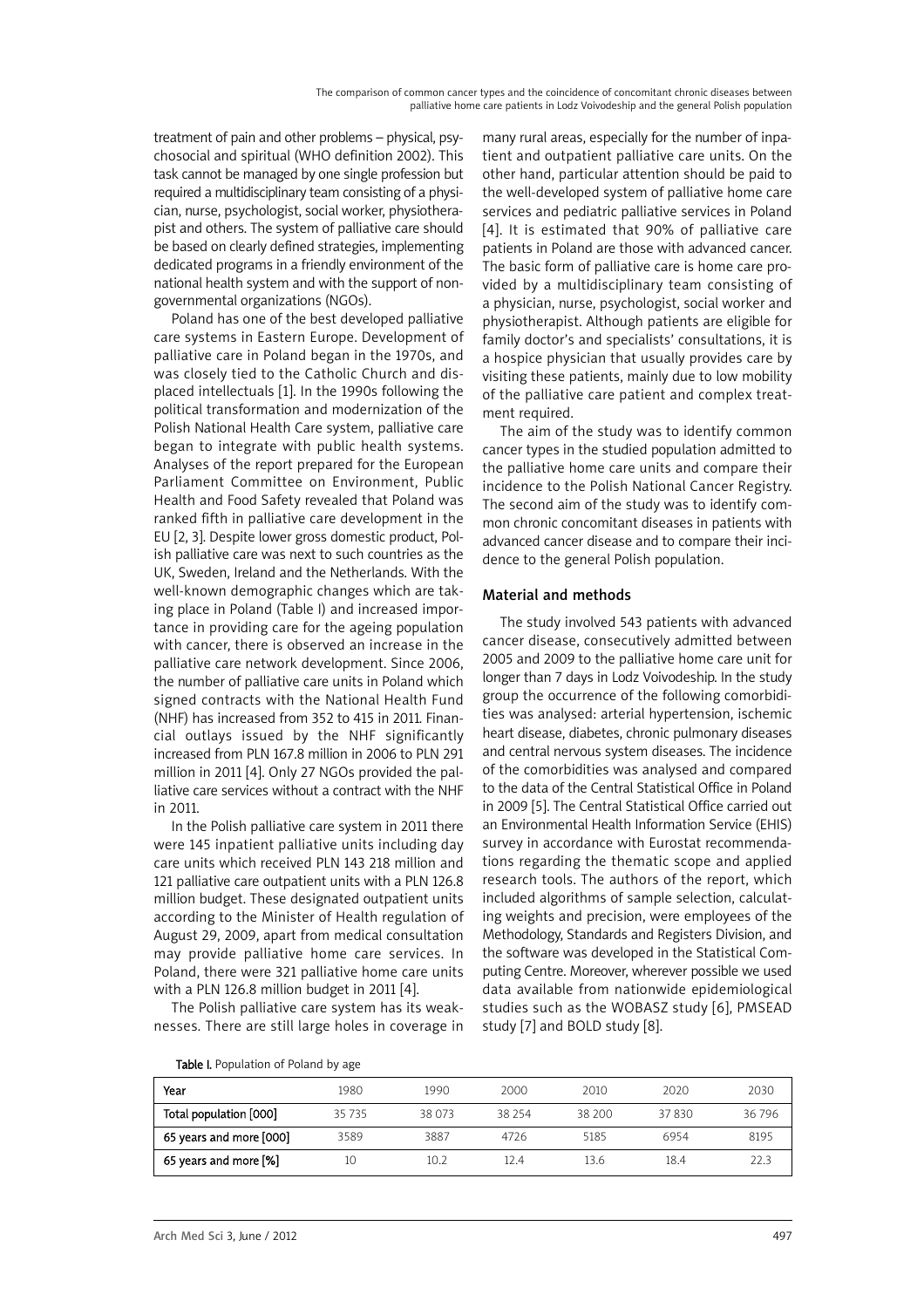treatment of pain and other problems – physical, psychosocial and spiritual (WHO definition 2002). This task cannot be managed by one single profession but required a multidisciplinary team consisting of a physician, nurse, psychologist, social worker, physiotherapist and others. The system of palliative care should be based on clearly defined strategies, implementing dedicated programs in a friendly environment of the national health system and with the support of nongovernmental organizations (NGOs).

Poland has one of the best developed palliative care systems in Eastern Europe. Development of palliative care in Poland began in the 1970s, and was closely tied to the Catholic Church and displaced intellectuals [1]. In the 1990s following the political transformation and modernization of the Polish National Health Care system, palliative care began to integrate with public health systems. Analyses of the report prepared for the European Parliament Committee on Environment, Public Health and Food Safety revealed that Poland was ranked fifth in palliative care development in the EU [2, 3]. Despite lower gross domestic product, Polish palliative care was next to such countries as the UK, Sweden, Ireland and the Netherlands. With the well-known demographic changes which are taking place in Poland (Table I) and increased importance in providing care for the ageing population with cancer, there is observed an increase in the palliative care network development. Since 2006, the number of palliative care units in Poland which signed contracts with the National Health Fund (NHF) has increased from 352 to 415 in 2011. Financial outlays issued by the NHF significantly increased from PLN 167.8 million in 2006 to PLN 291 million in 2011 [4]. Only 27 NGOs provided the palliative care services without a contract with the NHF in 2011.

In the Polish palliative care system in 2011 there were 145 inpatient palliative units including day care units which received PLN 143 218 million and 121 palliative care outpatient units with a PLN 126.8 million budget. These designated outpatient units according to the Minister of Health regulation of August 29, 2009, apart from medical consultation may provide palliative home care services. In Poland, there were 321 palliative home care units with a PLN 126.8 million budget in 2011 [4].

The Polish palliative care system has its weaknesses. There are still large holes in coverage in

many rural areas, especially for the number of inpatient and outpatient palliative care units. On the other hand, particular attention should be paid to the well-developed system of palliative home care services and pediatric palliative services in Poland [4]. It is estimated that 90% of palliative care patients in Poland are those with advanced cancer. The basic form of palliative care is home care provided by a multidisciplinary team consisting of a physician, nurse, psychologist, social worker and physiotherapist. Although patients are eligible for family doctor's and specialists' consultations, it is a hospice physician that usually provides care by visiting these patients, mainly due to low mobility of the palliative care patient and complex treatment required.

The aim of the study was to identify common cancer types in the studied population admitted to the palliative home care units and compare their incidence to the Polish National Cancer Registry. The second aim of the study was to identify common chronic concomitant diseases in patients with advanced cancer disease and to compare their incidence to the general Polish population.

# Material and methods

The study involved 543 patients with advanced cancer disease, consecutively admitted between 2005 and 2009 to the palliative home care unit for longer than 7 days in Lodz Voivodeship. In the study group the occurrence of the following comorbidities was analysed: arterial hypertension, ischemic heart disease, diabetes, chronic pulmonary diseases and central nervous system diseases. The incidence of the comorbidities was analysed and compared to the data of the Central Statistical Office in Poland in 2009 [5]. The Central Statistical Office carried out an Environmental Health Information Service (EHIS) survey in accordance with Eurostat recommendations regarding the thematic scope and applied research tools. The authors of the report, which included algorithms of sample selection, calculating weights and precision, were employees of the Methodology, Standards and Registers Division, and the software was developed in the Statistical Computing Centre. Moreover, wherever possible we used data available from nationwide epidemiological studies such as the WOBASZ study [6], PMSEAD study [7] and BOLD study [8].

Table I. Population of Poland by age

| Year                    | 1980    | 1990   | 2000   | 2010   | 2020  | 2030  |
|-------------------------|---------|--------|--------|--------|-------|-------|
| Total population [000]  | 35 7 35 | 38 073 | 38 254 | 38 200 | 37830 | 36796 |
| 65 years and more [000] | 3589    | 3887   | 4726   | 5185   | 6954  | 8195  |
| 65 years and more [%]   | 10      | 10.2   | 12.4   | 13.6   | 18.4  | 223   |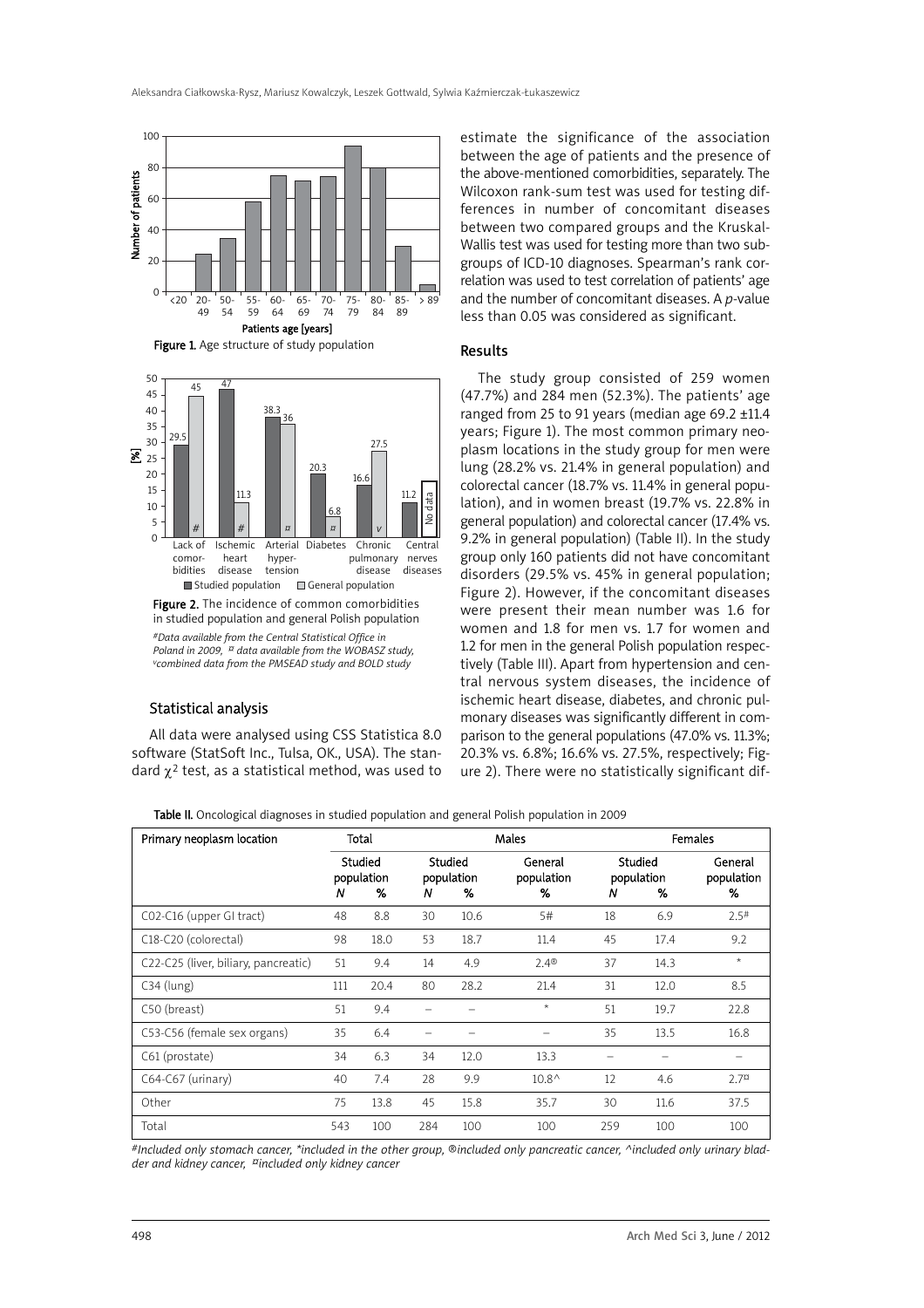

Figure 1. Age structure of study population



Figure 2. The incidence of common comorbidities in studied population and general Polish population *#Data available from the Central Statistical Office in Poland in 2009, ¤ data available from the WOBASZ study, vcombined data from the PMSEAD study and BOLD study*

## Statistical analysis

All data were analysed using CSS Statistica 8.0 software (StatSoft Inc., Tulsa, OK., USA). The standard  $\chi^2$  test, as a statistical method, was used to

estimate the significance of the association between the age of patients and the presence of the above-mentioned comorbidities, separately. The Wilcoxon rank-sum test was used for testing differences in number of concomitant diseases between two compared groups and the Kruskal-Wallis test was used for testing more than two subgroups of ICD-10 diagnoses. Spearman's rank correlation was used to test correlation of patients' age and the number of concomitant diseases. A *p*-value less than 0.05 was considered as significant.

#### Results

The study group consisted of 259 women (47.7%) and 284 men (52.3%). The patients' age ranged from 25 to 91 years (median age 69.2 ±11.4 years; Figure 1). The most common primary neoplasm locations in the study group for men were lung (28.2% vs. 21.4% in general population) and colorectal cancer (18.7% vs. 11.4% in general population), and in women breast (19.7% vs. 22.8% in general population) and colorectal cancer (17.4% vs. 9.2% in general population) (Table II). In the study group only 160 patients did not have concomitant disorders (29.5% vs. 45% in general population; Figure 2). However, if the concomitant diseases were present their mean number was 1.6 for women and 1.8 for men vs. 1.7 for women and 1.2 for men in the general Polish population respectively (Table III). Apart from hypertension and central nervous system diseases, the incidence of ischemic heart disease, diabetes, and chronic pulmonary diseases was significantly different in comparison to the general populations (47.0% vs. 11.3%; 20.3% vs. 6.8%; 16.6% vs. 27.5%, respectively; Figure 2). There were no statistically significant dif-

Table II. Oncological diagnoses in studied population and general Polish population in 2009

| Primary neoplasm location            | Total<br>Studied<br>population<br>%<br>Ν |      |                                 |      | Males                      | Females                         |      |                            |
|--------------------------------------|------------------------------------------|------|---------------------------------|------|----------------------------|---------------------------------|------|----------------------------|
|                                      |                                          |      | Studied<br>population<br>%<br>N |      | General<br>population<br>% | Studied<br>population<br>℅<br>Ν |      | General<br>population<br>% |
| CO2-C16 (upper GI tract)             | 48                                       | 8.8  | 30                              | 10.6 | 5#                         | 18                              | 6.9  | $2.5$ <sup>#</sup>         |
| C18-C20 (colorectal)                 | 98                                       | 18.0 | 53                              | 18.7 | 11.4                       | 45                              | 17.4 | 9.2                        |
| C22-C25 (liver, biliary, pancreatic) | 51                                       | 9.4  | 14                              | 4.9  | 2.4 <sup>®</sup>           | 37                              | 14.3 | $\star$                    |
| $C34$ (lung)                         | 111                                      | 20.4 | 80                              | 28.2 | 21.4                       | 31                              | 12.0 | 8.5                        |
| C50 (breast)                         | 51                                       | 9.4  |                                 |      | $\star$                    | 51                              | 19.7 | 22.8                       |
| C53-C56 (female sex organs)          | 35                                       | 6.4  |                                 |      |                            | 35                              | 13.5 | 16.8                       |
| C61 (prostate)                       | 34                                       | 6.3  | 34                              | 12.0 | 13.3                       |                                 |      |                            |
| $C64-C67$ (urinary)                  | 40                                       | 7.4  | 28                              | 9.9  | $10.8^{\circ}$             | 12                              | 4.6  | 2.7 <sup>0</sup>           |
| Other                                | 75                                       | 13.8 | 45                              | 15.8 | 35.7                       | 30                              | 11.6 | 37.5                       |
| Total                                | 543                                      | 100  | 284                             | 100  | 100                        | 259                             | 100  | 100                        |

*#Included only stomach cancer, \*included in the other group, ®included only pancreatic cancer, ^included only urinary bladder and kidney cancer, ¤included only kidney cancer*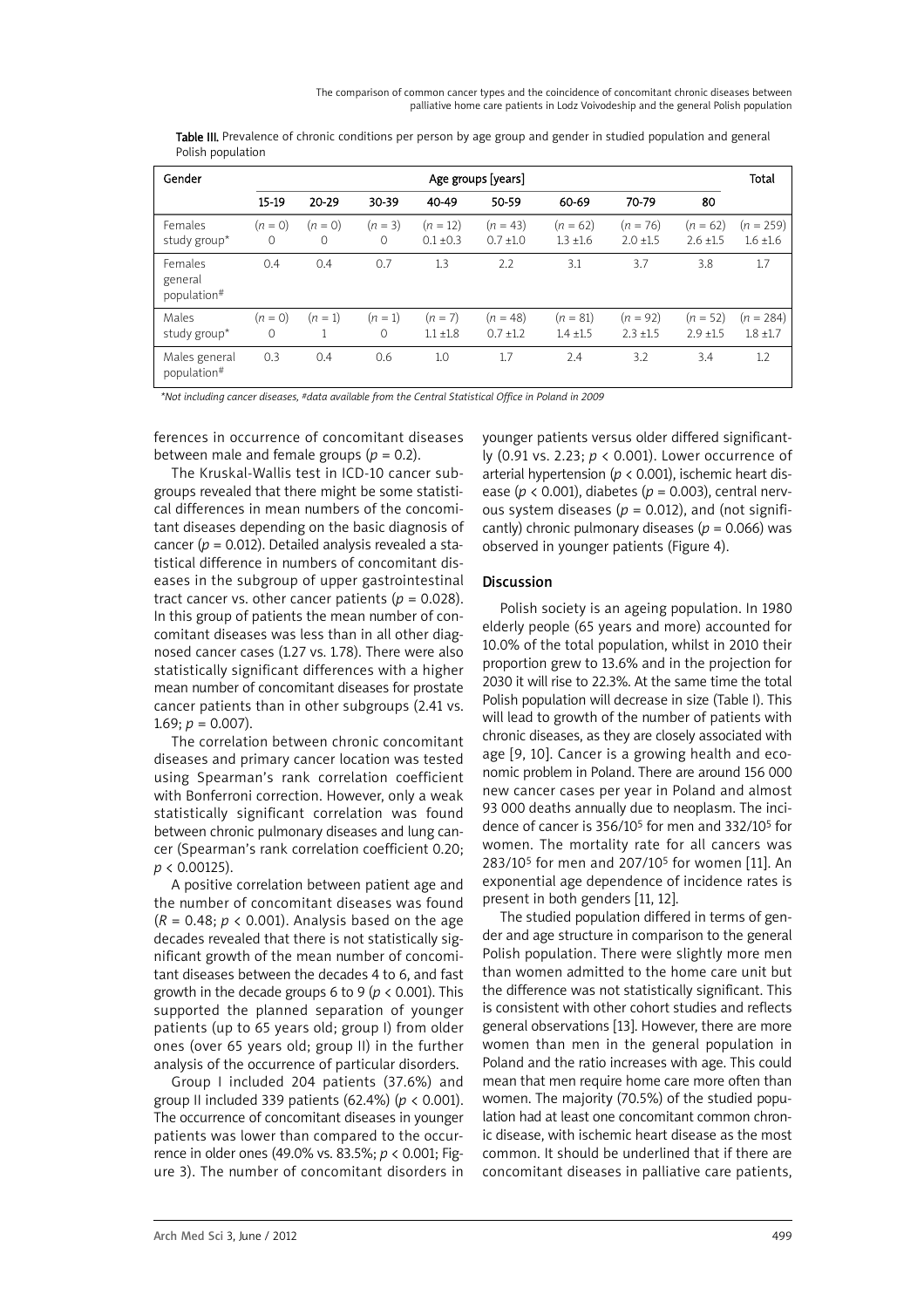Table III. Prevalence of chronic conditions per person by age group and gender in studied population and general Polish population

| Gender                            | Age groups [years]    |                       |                       |                             |                             |                             |                             |                             | Total                        |
|-----------------------------------|-----------------------|-----------------------|-----------------------|-----------------------------|-----------------------------|-----------------------------|-----------------------------|-----------------------------|------------------------------|
|                                   | 15-19                 | 20-29                 | 30-39                 | 40-49                       | 50-59                       | 60-69                       | 70-79                       | 80                          |                              |
| Females<br>study group*           | $(n = 0)$<br>$\Omega$ | $(n = 0)$<br>$\Omega$ | $(n = 3)$<br>$\Omega$ | $(n = 12)$<br>$0.1 \pm 0.3$ | $(n = 43)$<br>$0.7 \pm 1.0$ | $(n = 62)$<br>$1.3 \pm 1.6$ | $(n = 76)$<br>$2.0 \pm 1.5$ | $(n = 62)$<br>$2.6 \pm 1.5$ | $(n = 259)$<br>$1.6 \pm 1.6$ |
| Females<br>general<br>population# | 0.4                   | 0.4                   | 0.7                   | 1.3                         | 2.2                         | 3.1                         | 3.7                         | 3.8                         | 1.7                          |
| Males<br>study group*             | $(n = 0)$<br>$\Omega$ | $(n = 1)$             | $(n = 1)$<br>$\Omega$ | $(n = 7)$<br>$1.1 \pm 1.8$  | $(n = 48)$<br>$0.7 \pm 1.2$ | $(n = 81)$<br>$1.4 \pm 1.5$ | $(n = 92)$<br>$2.3 \pm 1.5$ | $(n = 52)$<br>$2.9 \pm 1.5$ | $(n = 284)$<br>$1.8 \pm 1.7$ |
| Males general<br>population#      | 0.3                   | 0.4                   | 0.6                   | 1.0                         | 1.7                         | 2.4                         | 3.2                         | 3.4                         | 1.2                          |

*\*Not including cancer diseases, #data available from the Central Statistical Office in Poland in 2009*

ferences in occurrence of concomitant diseases between male and female groups  $(p = 0.2)$ .

The Kruskal-Wallis test in ICD-10 cancer subgroups revealed that there might be some statistical differences in mean numbers of the concomitant diseases depending on the basic diagnosis of cancer (*p* = 0.012). Detailed analysis revealed a statistical difference in numbers of concomitant diseases in the subgroup of upper gastrointestinal tract cancer vs. other cancer patients  $(p = 0.028)$ . In this group of patients the mean number of concomitant diseases was less than in all other diagnosed cancer cases (1.27 vs. 1.78). There were also statistically significant differences with a higher mean number of concomitant diseases for prostate cancer patients than in other subgroups (2.41 vs. 1.69;  $p = 0.007$ ).

The correlation between chronic concomitant diseases and primary cancer location was tested using Spearman's rank correlation coefficient with Bonferroni correction. However, only a weak statistically significant correlation was found between chronic pulmonary diseases and lung cancer (Spearman's rank correlation coefficient 0.20; *p* < 0.00125).

A positive correlation between patient age and the number of concomitant diseases was found  $(R = 0.48; p < 0.001)$ . Analysis based on the age decades revealed that there is not statistically significant growth of the mean number of concomitant diseases between the decades 4 to 6, and fast growth in the decade groups 6 to 9 (*p* < 0.001). This supported the planned separation of younger patients (up to 65 years old; group I) from older ones (over 65 years old; group II) in the further analysis of the occurrence of particular disorders.

Group I included 204 patients (37.6%) and group II included 339 patients (62.4%) (*p* < 0.001). The occurrence of concomitant diseases in younger patients was lower than compared to the occurrence in older ones (49.0% vs. 83.5%; *p* < 0.001; Figure 3). The number of concomitant disorders in younger patients versus older differed significantly (0.91 vs. 2.23; *p* < 0.001). Lower occurrence of arterial hypertension (*p* < 0.001), ischemic heart disease (*p* < 0.001), diabetes (*p* = 0.003), central nervous system diseases ( $p = 0.012$ ), and (not significantly) chronic pulmonary diseases (*p* = 0.066) was observed in younger patients (Figure 4).

# Discussion

Polish society is an ageing population. In 1980 elderly people (65 years and more) accounted for 10.0% of the total population, whilst in 2010 their proportion grew to 13.6% and in the projection for 2030 it will rise to 22.3%. At the same time the total Polish population will decrease in size (Table I). This will lead to growth of the number of patients with chronic diseases, as they are closely associated with age [9, 10]. Cancer is a growing health and economic problem in Poland. There are around 156 000 new cancer cases per year in Poland and almost 93 000 deaths annually due to neoplasm. The incidence of cancer is 356/105 for men and 332/105 for women. The mortality rate for all cancers was 283/105 for men and 207/105 for women [11]. An exponential age dependence of incidence rates is present in both genders [11, 12].

The studied population differed in terms of gender and age structure in comparison to the general Polish population. There were slightly more men than women admitted to the home care unit but the difference was not statistically significant. This is consistent with other cohort studies and reflects general observations [13]. However, there are more women than men in the general population in Poland and the ratio increases with age. This could mean that men require home care more often than women. The majority (70.5%) of the studied population had at least one concomitant common chronic disease, with ischemic heart disease as the most common. It should be underlined that if there are concomitant diseases in palliative care patients,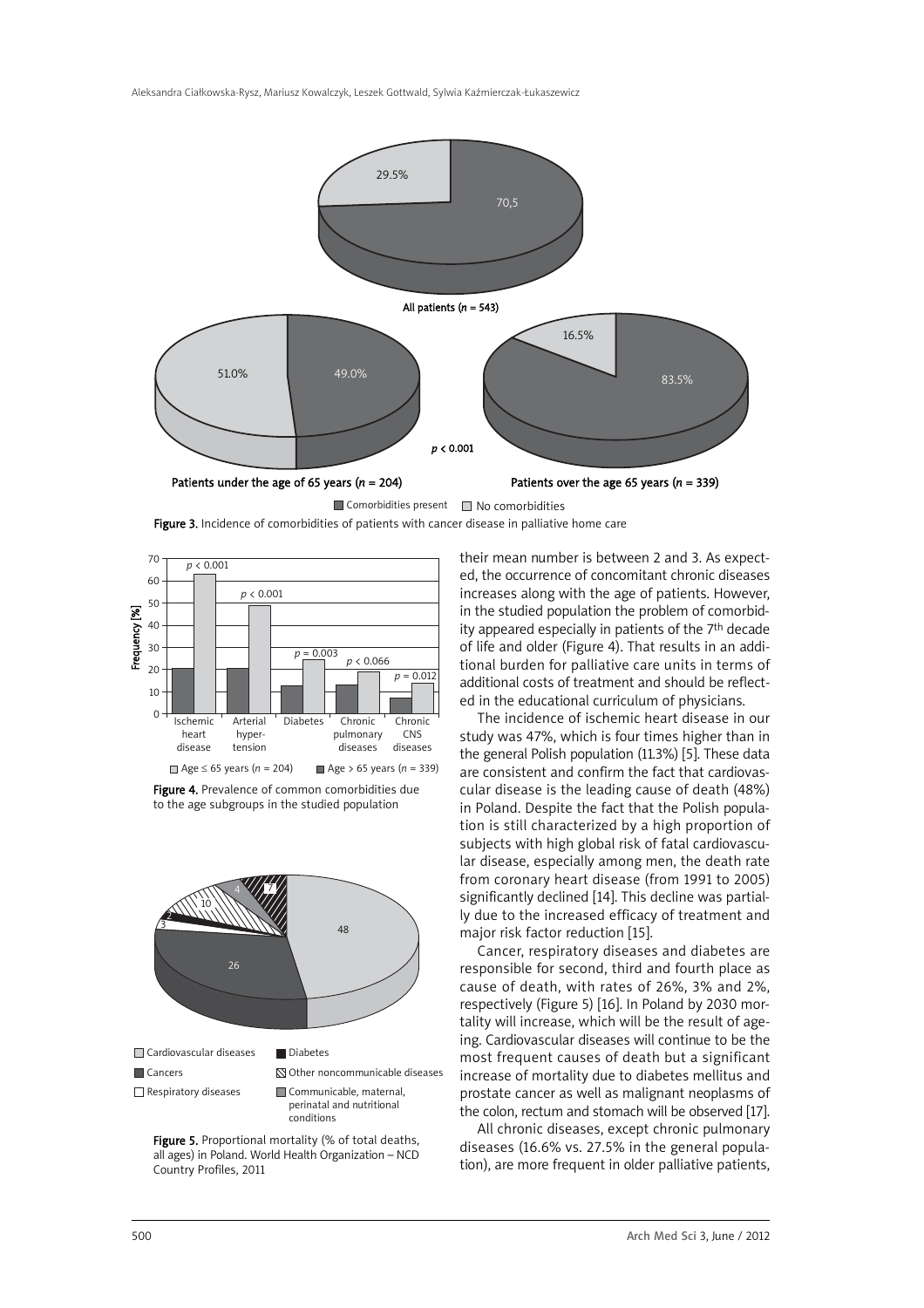

Figure 3. Incidence of comorbidities of patients with cancer disease in palliative home care







Figure 5. Proportional mortality (% of total deaths, all ages) in Poland. World Health Organization – NCD Country Profiles, 2011

their mean number is between 2 and 3. As expected, the occurrence of concomitant chronic diseases increases along with the age of patients. However, in the studied population the problem of comorbidity appeared especially in patients of the 7th decade of life and older (Figure 4). That results in an additional burden for palliative care units in terms of additional costs of treatment and should be reflected in the educational curriculum of physicians.

The incidence of ischemic heart disease in our study was 47%, which is four times higher than in the general Polish population (11.3%) [5]. These data are consistent and confirm the fact that cardiovascular disease is the leading cause of death (48%) in Poland. Despite the fact that the Polish population is still characterized by a high proportion of subjects with high global risk of fatal cardiovascular disease, especially among men, the death rate from coronary heart disease (from 1991 to 2005) significantly declined [14]. This decline was partially due to the increased efficacy of treatment and major risk factor reduction [15].

Cancer, respiratory diseases and diabetes are responsible for second, third and fourth place as cause of death, with rates of 26%, 3% and 2%, respectively (Figure 5) [16]. In Poland by 2030 mortality will increase, which will be the result of ageing. Cardiovascular diseases will continue to be the most frequent causes of death but a significant increase of mortality due to diabetes mellitus and prostate cancer as well as malignant neoplasms of the colon, rectum and stomach will be observed [17].

All chronic diseases, except chronic pulmonary diseases (16.6% vs. 27.5% in the general population), are more frequent in older palliative patients,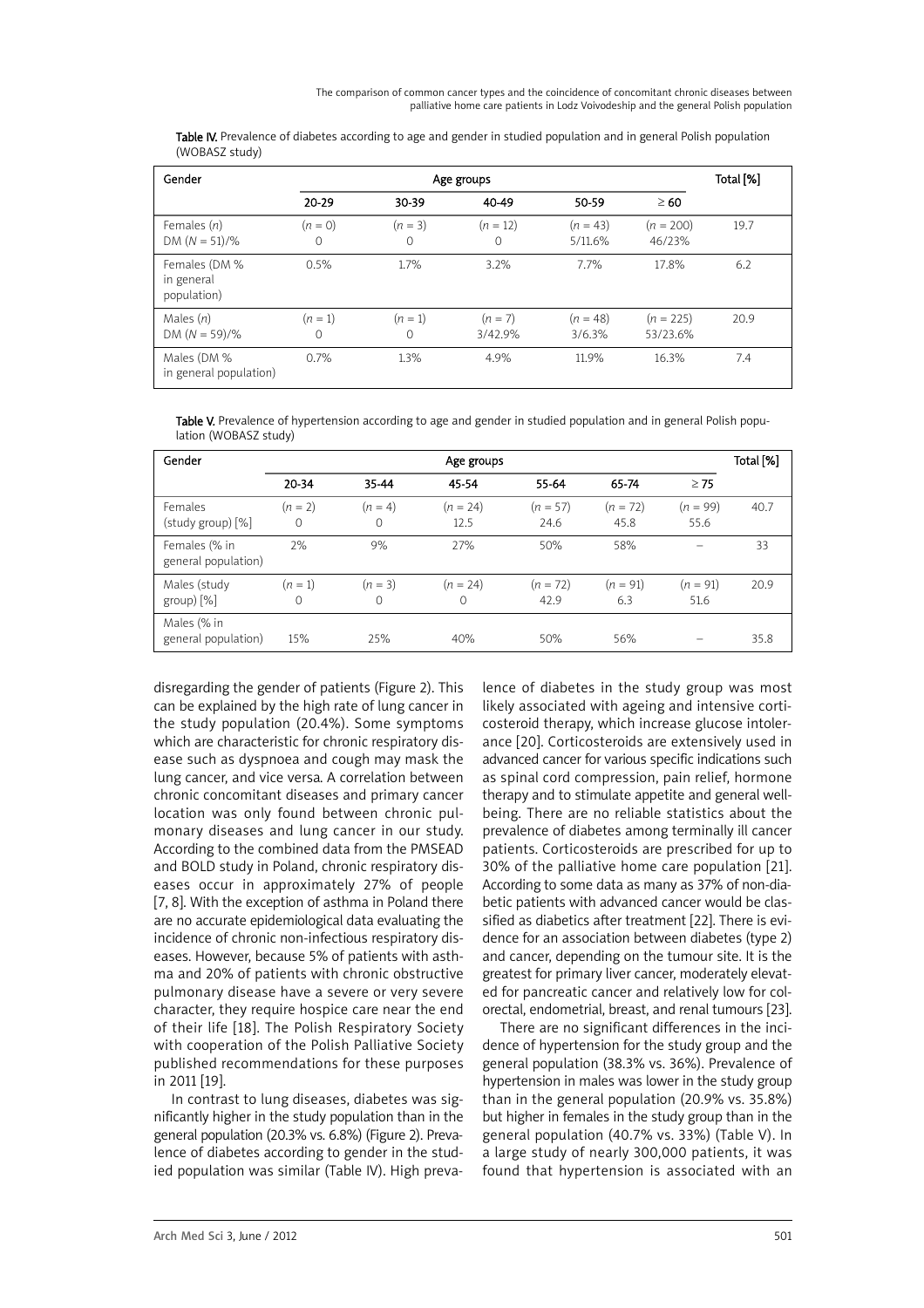The comparison of common cancer types and the coincidence of concomitant chronic diseases between palliative home care patients in Lodz Voivodeship and the general Polish population

Table IV. Prevalence of diabetes according to age and gender in studied population and in general Polish population (WOBASZ study)

| Gender                                     | Age groups            |                       |                        |                       |                         |      |  |
|--------------------------------------------|-----------------------|-----------------------|------------------------|-----------------------|-------------------------|------|--|
|                                            | $20 - 29$             | 30-39                 | 40-49                  | 50-59                 | $\geq 60$               |      |  |
| Females $(n)$<br>DM $(N = 51)/\%$          | $(n = 0)$<br>$\Omega$ | $(n = 3)$<br>$\Omega$ | $(n = 12)$<br>$\Omega$ | $(n = 43)$<br>5/11.6% | $(n = 200)$<br>46/23%   | 19.7 |  |
| Females (DM %<br>in general<br>population) | 0.5%                  | 1.7%                  | 3.2%                   | 7.7%                  | 17.8%                   | 6.2  |  |
| Males $(n)$<br>DM $(N = 59)/\%$            | $(n = 1)$<br>0        | $(n = 1)$<br>$\Omega$ | $(n = 7)$<br>3/42.9%   | $(n = 48)$<br>3/6.3%  | $(n = 225)$<br>53/23.6% | 20.9 |  |
| Males (DM %<br>in general population)      | 0.7%                  | 1.3%                  | 4.9%                   | 11.9%                 | 16.3%                   | 7.4  |  |

Table V. Prevalence of hypertension according to age and gender in studied population and in general Polish population (WOBASZ study)

| Gender                                 | Age groups     |                       |                           |                    |                    |                    |      |  |
|----------------------------------------|----------------|-----------------------|---------------------------|--------------------|--------------------|--------------------|------|--|
|                                        | 20-34          | 35-44                 | 45-54                     | 55-64              | 65-74              | $\geq 75$          |      |  |
| Females<br>$(\text{study group}) [\%]$ | $(n = 2)$<br>0 | $(n = 4)$<br>$\Omega$ | $(n = 24)$<br>12.5        | $(n = 57)$<br>24.6 | $(n = 72)$<br>45.8 | $(n = 99)$<br>55.6 | 40.7 |  |
| Females (% in<br>general population)   | 2%             | 9%                    | 27%                       | 50%                | 58%                |                    | 33   |  |
| Males (study<br>group)[%]              | $(n = 1)$<br>0 | $(n = 3)$<br>0        | $(n = 24)$<br>$\mathbf 0$ | $(n = 72)$<br>42.9 | $(n = 91)$<br>6.3  | $(n = 91)$<br>51.6 | 20.9 |  |
| Males (% in<br>general population)     | 15%            | 25%                   | 40%                       | 50%                | 56%                |                    | 35.8 |  |

disregarding the gender of patients (Figure 2). This can be explained by the high rate of lung cancer in the study population (20.4%). Some symptoms which are characteristic for chronic respiratory disease such as dyspnoea and cough may mask the lung cancer, and vice versa. A correlation between chronic concomitant diseases and primary cancer location was only found between chronic pulmonary diseases and lung cancer in our study. According to the combined data from the PMSEAD and BOLD study in Poland, chronic respiratory diseases occur in approximately 27% of people [7, 8]. With the exception of asthma in Poland there are no accurate epidemiological data evaluating the incidence of chronic non-infectious respiratory diseases. However, because 5% of patients with asthma and 20% of patients with chronic obstructive pulmonary disease have a severe or very severe character, they require hospice care near the end of their life [18]. The Polish Respiratory Society with cooperation of the Polish Palliative Society published recommendations for these purposes in 2011 [19].

In contrast to lung diseases, diabetes was significantly higher in the study population than in the general population (20.3% vs. 6.8%) (Figure 2). Prevalence of diabetes according to gender in the studied population was similar (Table IV). High prevalence of diabetes in the study group was most likely associated with ageing and intensive corticosteroid therapy, which increase glucose intolerance [20]. Corticosteroids are extensively used in advanced cancer for various specific indications such as spinal cord compression, pain relief, hormone therapy and to stimulate appetite and general wellbeing. There are no reliable statistics about the prevalence of diabetes among terminally ill cancer patients. Corticosteroids are prescribed for up to 30% of the palliative home care population [21]. According to some data as many as 37% of non-diabetic patients with advanced cancer would be classified as diabetics after treatment [22]. There is evidence for an association between diabetes (type 2) and cancer, depending on the tumour site. It is the greatest for primary liver cancer, moderately elevated for pancreatic cancer and relatively low for colorectal, endometrial, breast, and renal tumours [23].

There are no significant differences in the incidence of hypertension for the study group and the general population (38.3% vs. 36%). Prevalence of hypertension in males was lower in the study group than in the general population (20.9% vs. 35.8%) but higher in females in the study group than in the general population (40.7% vs. 33%) (Table V). In a large study of nearly 300,000 patients, it was found that hypertension is associated with an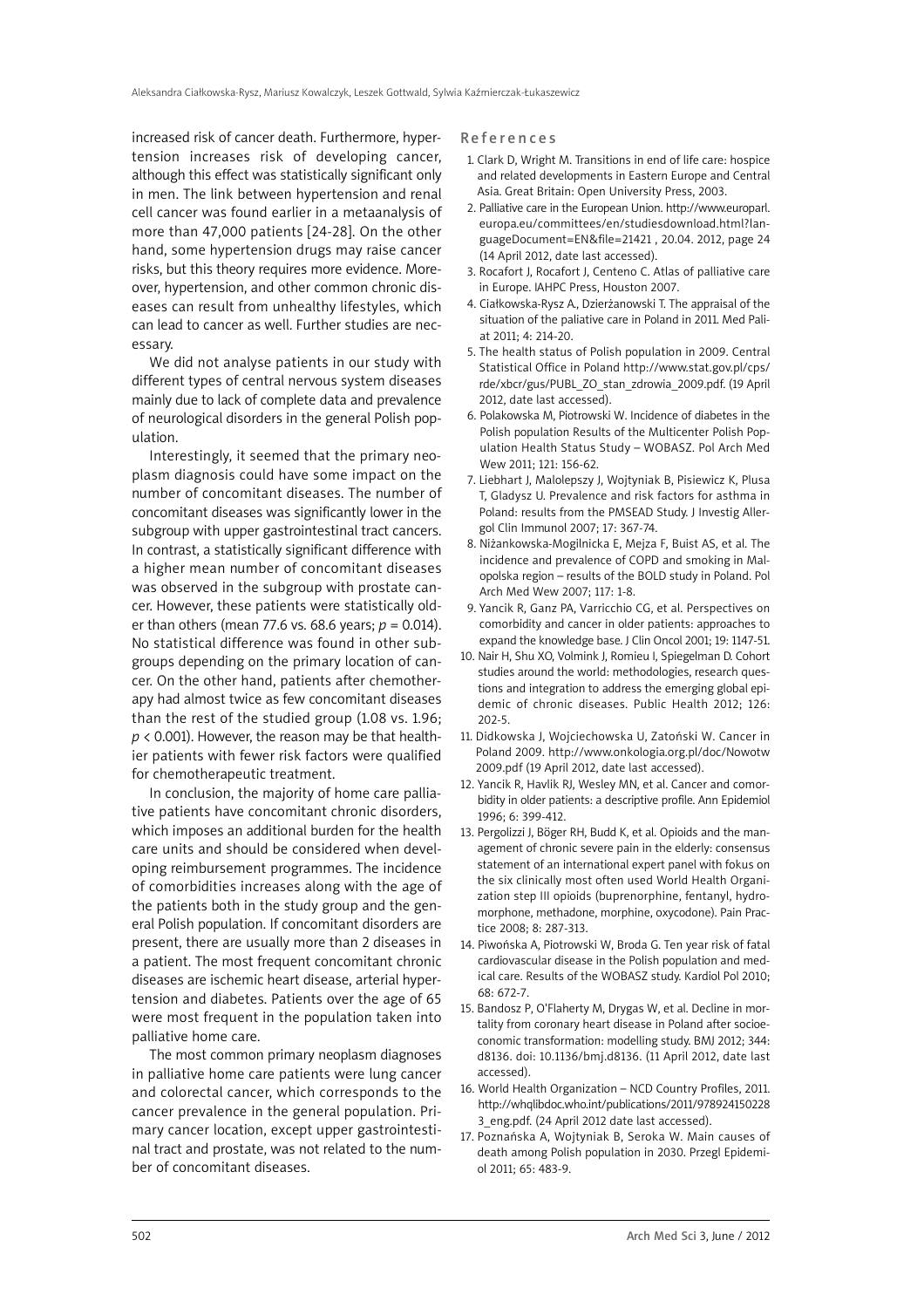increased risk of cancer death. Furthermore, hypertension increases risk of developing cancer, although this effect was statistically significant only in men. The link between hypertension and renal cell cancer was found earlier in a metaanalysis of more than 47,000 patients [24-28]. On the other hand, some hypertension drugs may raise cancer risks, but this theory requires more evidence. Moreover, hypertension, and other common chronic diseases can result from unhealthy lifestyles, which can lead to cancer as well. Further studies are necessary.

We did not analyse patients in our study with different types of central nervous system diseases mainly due to lack of complete data and prevalence of neurological disorders in the general Polish population.

Interestingly, it seemed that the primary neoplasm diagnosis could have some impact on the number of concomitant diseases. The number of concomitant diseases was significantly lower in the subgroup with upper gastrointestinal tract cancers. In contrast, a statistically significant difference with a higher mean number of concomitant diseases was observed in the subgroup with prostate cancer. However, these patients were statistically older than others (mean 77.6 vs. 68.6 years; *p* = 0.014). No statistical difference was found in other subgroups depending on the primary location of cancer. On the other hand, patients after chemotherapy had almost twice as few concomitant diseases than the rest of the studied group (1.08 vs. 1.96; *p* < 0.001). However, the reason may be that healthier patients with fewer risk factors were qualified for chemotherapeutic treatment.

In conclusion, the majority of home care palliative patients have concomitant chronic disorders, which imposes an additional burden for the health care units and should be considered when developing reimbursement programmes. The incidence of comorbidities increases along with the age of the patients both in the study group and the general Polish population. If concomitant disorders are present, there are usually more than 2 diseases in a patient. The most frequent concomitant chronic diseases are ischemic heart disease, arterial hypertension and diabetes. Patients over the age of 65 were most frequent in the population taken into palliative home care.

The most common primary neoplasm diagnoses in palliative home care patients were lung cancer and colorectal cancer, which corresponds to the cancer prevalence in the general population. Primary cancer location, except upper gastrointestinal tract and prostate, was not related to the number of concomitant diseases.

#### References

- 1. Clark D, Wright M. Transitions in end of life care: hospice and related developments in Eastern Europe and Central Asia. Great Britain: Open University Press, 2003.
- 2. Palliative care in the European Union. http://www.europarl. europa.eu/committees/en/studiesdownload.html?languageDocument=EN&file=21421 , 20.04. 2012, page 24 (14 April 2012, date last accessed).
- 3. Rocafort J, Rocafort J, Centeno C. Atlas of palliative care in Europe. IAHPC Press, Houston 2007.
- 4. Ciałkowska-Rysz A., Dzierżanowski T. The appraisal of the situation of the paliative care in Poland in 2011. Med Paliat 2011; 4: 214-20.
- 5. The health status of Polish population in 2009. Central Statistical Office in Poland http://www.stat.gov.pl/cps/ rde/xbcr/gus/PUBL\_ZO\_stan\_zdrowia\_2009.pdf. (19 April 2012, date last accessed).
- 6. Polakowska M, Piotrowski W. Incidence of diabetes in the Polish population Results of the Multicenter Polish Population Health Status Study – WOBASZ. Pol Arch Med Wew 2011; 121: 156-62.
- 7. Liebhart J, Malolepszy J, Wojtyniak B, Pisiewicz K, Plusa T, Gladysz U. Prevalence and risk factors for asthma in Poland: results from the PMSEAD Study. J Investig Allergol Clin Immunol 2007; 17: 367-74.
- 8. Niżankowska-Mogilnicka E, Mejza F, Buist AS, et al. The incidence and prevalence of COPD and smoking in Malopolska region – results of the BOLD study in Poland. Pol Arch Med Wew 2007; 117: 1-8.
- 9. Yancik R, Ganz PA, Varricchio CG, et al. Perspectives on comorbidity and cancer in older patients: approaches to expand the knowledge base. J Clin Oncol 2001; 19: 1147-51.
- 10. Nair H, Shu XO, Volmink J, Romieu I, Spiegelman D. Cohort studies around the world: methodologies, research questions and integration to address the emerging global epidemic of chronic diseases. Public Health 2012; 126: 202-5.
- 11. Didkowska J, Wojciechowska U, Zatoński W. Cancer in Poland 2009. http://www.onkologia.org.pl/doc/Nowotw 2009.pdf (19 April 2012, date last accessed).
- 12. Yancik R, Havlik RJ, Wesley MN, et al. Cancer and comorbidity in older patients: a descriptive profile. Ann Epidemiol 1996; 6: 399-412.
- 13. Pergolizzi J, Böger RH, Budd K, et al. Opioids and the management of chronic severe pain in the elderly: consensus statement of an international expert panel with fokus on the six clinically most often used World Health Organization step III opioids (buprenorphine, fentanyl, hydromorphone, methadone, morphine, oxycodone). Pain Practice 2008; 8: 287-313.
- 14. Piwońska A, Piotrowski W, Broda G. Ten year risk of fatal cardiovascular disease in the Polish population and medical care. Results of the WOBASZ study. Kardiol Pol 2010; 68: 672-7.
- 15. Bandosz P, O'Flaherty M, Drygas W, et al. Decline in mortality from coronary heart disease in Poland after socioeconomic transformation: modelling study. BMJ 2012; 344: d8136. doi: 10.1136/bmj.d8136. (11 April 2012, date last accessed).
- 16. World Health Organization NCD Country Profiles, 2011. http://whqlibdoc.who.int/publications/2011/978924150228 3\_eng.pdf. (24 April 2012 date last accessed).
- 17. Poznańska A, Wojtyniak B, Seroka W. Main causes of death among Polish population in 2030. Przegl Epidemiol 2011; 65: 483-9.